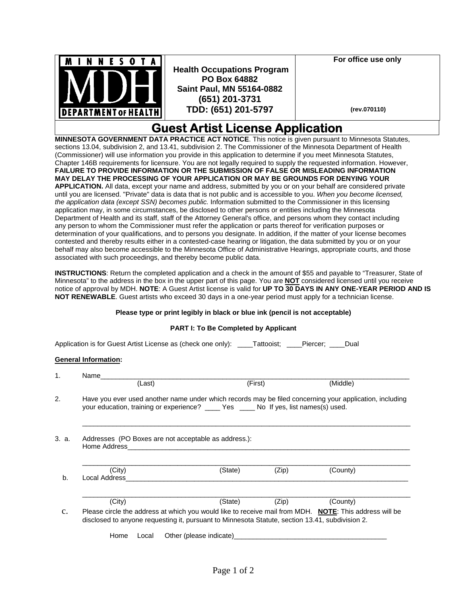

 **Health Occupations Program PO Box 64882 Saint Paul, MN 55164-0882 (651) 201-3731 TDD: (651) 201-5797**

**For office use only** 

 **(rev.070110)**

## **Guest Artist License Application**

**MINNESOTA GOVERNMENT DATA PRACTICE ACT NOTICE**. This notice is given pursuant to Minnesota Statutes, sections 13.04, subdivision 2, and 13.41, subdivision 2. The Commissioner of the Minnesota Department of Health (Commissioner) will use information you provide in this application to determine if you meet Minnesota Statutes, Chapter 146B requirements for licensure. You are not legally required to supply the requested information. However, **FAILURE TO PROVIDE INFORMATION OR THE SUBMISSION OF FALSE OR MISLEADING INFORMATION MAY DELAY THE PROCESSING OF YOUR APPLICATION OR MAY BE GROUNDS FOR DENYING YOUR APPLICATION.** All data, except your name and address, submitted by you or on your behalf are considered private until you are licensed. "Private" data is data that is not public and is accessible to you. *When you become licensed, the application data (except SSN) becomes public.* Information submitted to the Commissioner in this licensing application may, in some circumstances, be disclosed to other persons or entities including the Minnesota Department of Health and its staff, staff of the Attorney General's office, and persons whom they contact including any person to whom the Commissioner must refer the application or parts thereof for verification purposes or determination of your qualifications, and to persons you designate. In addition, if the matter of your license becomes contested and thereby results either in a contested-case hearing or litigation, the data submitted by you or on your behalf may also become accessible to the Minnesota Office of Administrative Hearings, appropriate courts, and those associated with such proceedings, and thereby become public data.

**INSTRUCTIONS**: Return the completed application and a check in the amount of \$55 and payable to "Treasurer, State of Minnesota" to the address in the box in the upper part of this page. You are **NOT** considered licensed until you receive notice of approval by MDH. **NOTE**: A Guest Artist license is valid for **UP TO 30 DAYS IN ANY ONE-YEAR PERIOD AND IS NOT RENEWABLE**. Guest artists who exceed 30 days in a one-year period must apply for a technician license.

## **Please type or print legibly in black or blue ink (pencil is not acceptable)**

## **PART I: To Be Completed by Applicant**

Application is for Guest Artist License as (check one only): \_\_\_\_Tattooist; \_\_\_\_Piercer; \_\_\_\_Dual

## **General Information:**

|       | Name                                                                                                                                                                                                      |                         |       |          |  |  |
|-------|-----------------------------------------------------------------------------------------------------------------------------------------------------------------------------------------------------------|-------------------------|-------|----------|--|--|
|       | (Last)                                                                                                                                                                                                    | (First)                 |       | (Middle) |  |  |
|       | Have you ever used another name under which records may be filed concerning your application, including<br>your education, training or experience? _____ Yes _____ No If yes, list names(s) used.         |                         |       |          |  |  |
| 3. a. | Addresses (PO Boxes are not acceptable as address.):<br>Home Address                                                                                                                                      |                         |       |          |  |  |
| b.    | (City)<br>Local Address                                                                                                                                                                                   | (State)                 | (Zip) | (County) |  |  |
|       | (City)                                                                                                                                                                                                    | (State)                 | (Zip) | (County) |  |  |
|       | Please circle the address at which you would like to receive mail from MDH. NOTE: This address will be<br>disclosed to anyone requesting it, pursuant to Minnesota Statute, section 13.41, subdivision 2. |                         |       |          |  |  |
|       | Home<br>Local                                                                                                                                                                                             | Other (please indicate) |       |          |  |  |